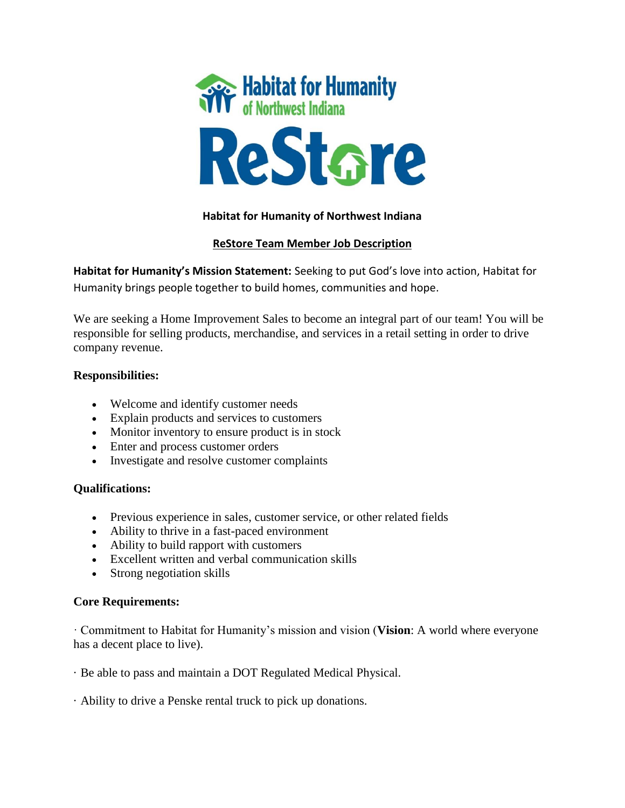

# **Habitat for Humanity of Northwest Indiana**

# **ReStore Team Member Job Description**

**Habitat for Humanity's Mission Statement:** Seeking to put God's love into action, Habitat for Humanity brings people together to build homes, communities and hope.

We are seeking a Home Improvement Sales to become an integral part of our team! You will be responsible for selling products, merchandise, and services in a retail setting in order to drive company revenue.

### **Responsibilities:**

- Welcome and identify customer needs
- Explain products and services to customers
- Monitor inventory to ensure product is in stock
- Enter and process customer orders
- Investigate and resolve customer complaints

# **Qualifications:**

- Previous experience in sales, customer service, or other related fields
- Ability to thrive in a fast-paced environment
- Ability to build rapport with customers
- Excellent written and verbal communication skills
- Strong negotiation skills

### **Core Requirements:**

· Commitment to Habitat for Humanity's mission and vision (**Vision**: A world where everyone has a decent place to live).

- · Be able to pass and maintain a DOT Regulated Medical Physical.
- · Ability to drive a Penske rental truck to pick up donations.